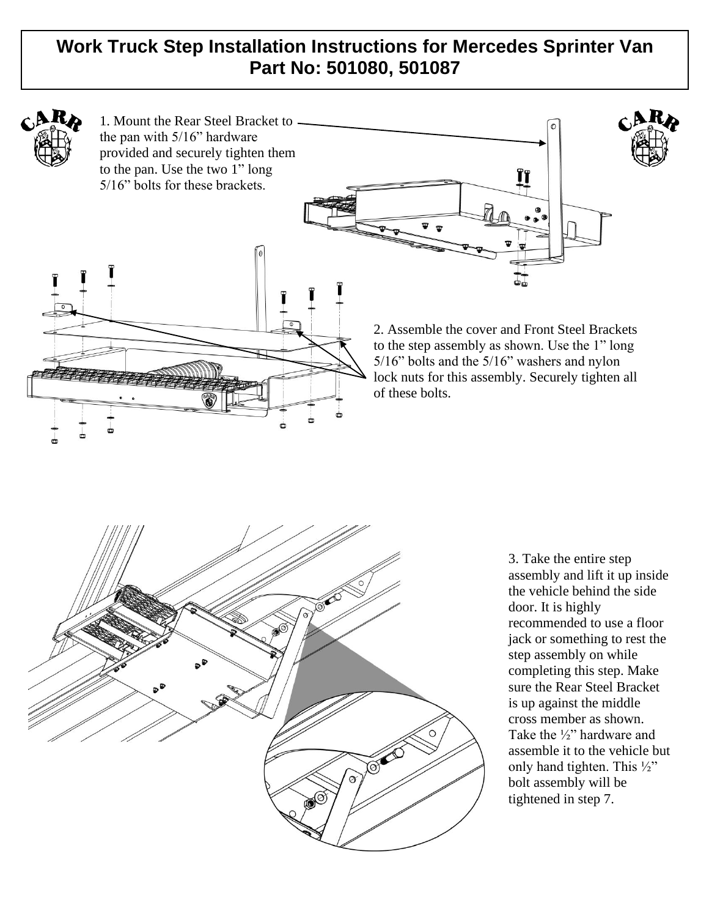# **Work Truck Step Installation Instructions for Mercedes Sprinter Van Part No: 501080, 501087**





3. Take the entire step assembly and lift it up inside the vehicle behind the side door. It is highly recommended to use a floor jack or something to rest the step assembly on while completing this step. Make sure the Rear Steel Bracket is up against the middle cross member as shown. Take the ½" hardware and assemble it to the vehicle but only hand tighten. This ½" bolt assembly will be tightened in step 7.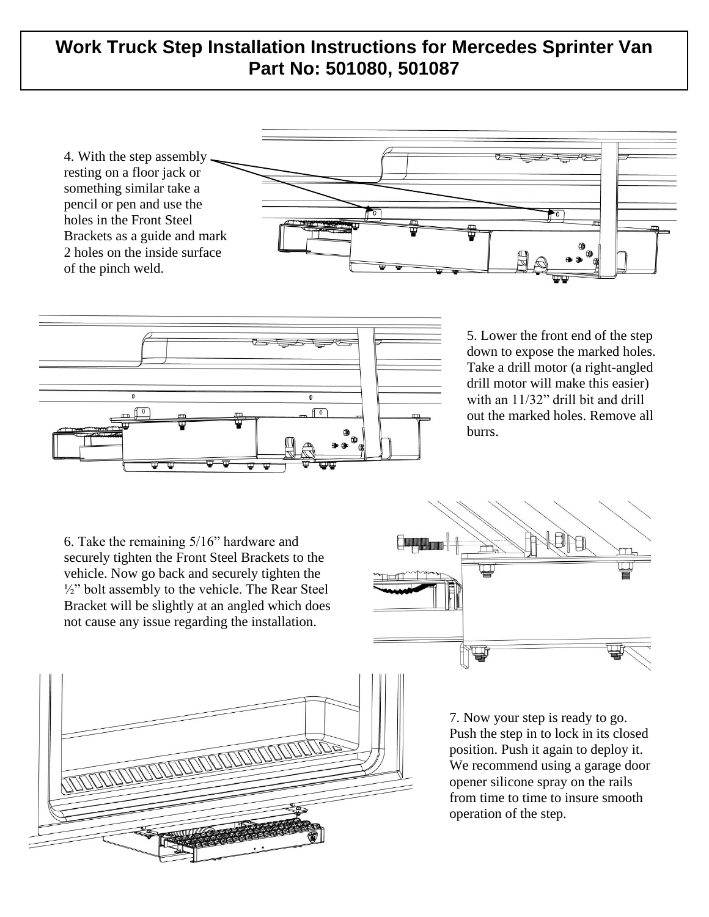## **Work Truck Step Installation Instructions for Mercedes Sprinter Van Part No: 501080, 501087**





5. Lower the front end of the step down to expose the marked holes. Take a drill motor (a right-angled drill motor will make this easier) with an 11/32" drill bit and drill out the marked holes. Remove all burrs.

6. Take the remaining 5/16" hardware and securely tighten the Front Steel Brackets to the vehicle. Now go back and securely tighten the <sup>1/2"</sup> bolt assembly to the vehicle. The Rear Steel Bracket will be slightly at an angled which does not cause any issue regarding the installation.





7. Now your step is ready to go. Push the step in to lock in its closed position. Push it again to deploy it. We recommend using a garage door opener silicone spray on the rails from time to time to insure smooth operation of the step.